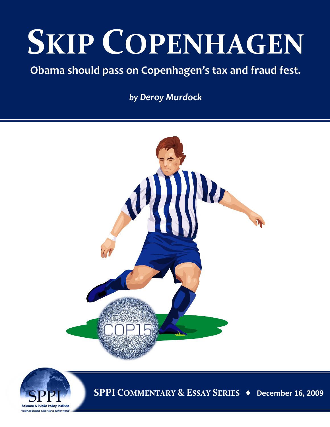# **SKIP COPENHAGEN**

### **Obama should pass on Copenhagen's tax and fraud fest.**

*by Deroy Murdock*





**SPPI COMMENTARY & ESSAY SERIES ♦ December 16, 2009**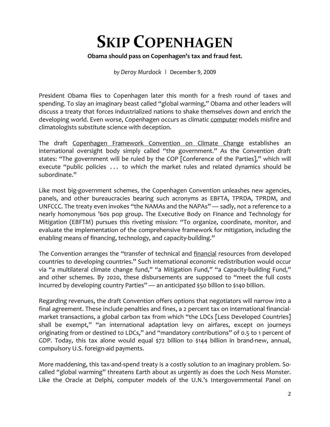## **SKIP COPENHAGEN**

#### **Obama should pass on Copenhagen's tax and fraud fest.**

*by Deroy Murdock* **|** December 9, 2009

President Obama flies to Copenhagen later this month for a fresh round of taxes and spending. To slay an imaginary beast called "global warming," Obama and other leaders will discuss a treaty that forces industrialized nations to shake themselves down and enrich the developing world. Even worse, Copenhagen occurs as climatic [computer](http://article.nationalreview.com/?q=Mjk3ZTRkODVjMzcwZDI0Y2ZhOTU5ZjdmN2JkZDE5NmU=&w=MA) models misfire and climatologists substitute science with deception.

The draft [Copenhagen Framework Convention on Climate Change](http://wattsupwiththat.files.wordpress.com/2009/10/un-fccc-copenhagen-2009.pdf) establishes an international oversight body simply called "the government." As the Convention draft states: "The government will be ruled by the COP [Conference of the Parties]," which will execute "public policies ... to which the market rules and related dynamics should be subordinate."

Like most big-government schemes, the Copenhagen Convention unleashes new agencies, panels, and other bureaucracies bearing such acronyms as EBFTA, TPRDA, TPRDM, and UNFCCC. The treaty even invokes "the NAMAs and the NAPAs" — sadly, *not* a reference to a nearly homonymous '60s pop group. The Executive Body on Finance and Technology for Mitigation (EBFTM) pursues this riveting mission: "To organize, coordinate, monitor, and evaluate the implementation of the comprehensive framework for mitigation, including the enabling means of financing, technology, and capacity-building."

The Convention arranges the "transfer of technical and [financial](http://article.nationalreview.com/?q=Mjk3ZTRkODVjMzcwZDI0Y2ZhOTU5ZjdmN2JkZDE5NmU=&w=MA) resources from developed countries to developing countries." Such international economic redistribution would occur via "a multilateral climate change fund," "a Mitigation Fund," "a Capacity-building Fund," and other schemes. By 2020, these disbursements are supposed to "meet the full costs incurred by developing country Parties" — an anticipated \$50 billion to \$140 billion.

Regarding revenues, the draft Convention offers options that negotiators will narrow into a final agreement. These include penalties and fines, a 2 percent tax on international financialmarket transactions, a global carbon tax from which "the LDCs [Less Developed Countries] shall be exempt," "an international adaptation levy on airfares, except on journeys originating from or destined to LDCs," and "mandatory contributions" of 0.5 to 1 percent of GDP. Today, this tax alone would equal \$72 billion to \$144 billion in brand-new, annual, compulsory U.S. foreign-aid payments.

More maddening, this tax-and-spend treaty is a costly solution to an imaginary problem. Socalled "global warming" threatens Earth about as urgently as does the Loch Ness Monster. Like the Oracle at Delphi, computer models of the U.N.'s Intergovernmental Panel on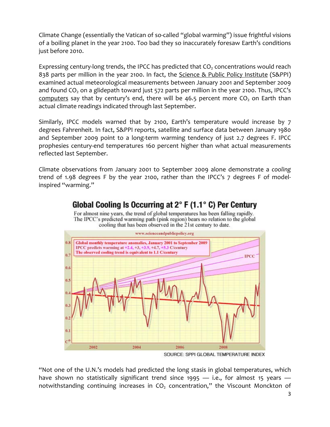Climate Change (essentially the Vatican of so-called "global warming") issue frightful visions of a boiling planet in the year 2100. Too bad they so inaccurately foresaw Earth's conditions just before 2010.

Expressing century-long trends, the IPCC has predicted that  $CO<sub>2</sub>$  concentrations would reach 838 parts per million in the year 2100. In fact, the [Science & Public Policy Institute](http://scienceandpublicpolicy.org/) (S&PPI) examined actual meteorological measurements between January 2001 and September 2009 and found  $CO<sub>2</sub>$  on a glidepath toward just 572 parts per million in the year 2100. Thus, IPCC's [computers](http://article.nationalreview.com/?q=Mjk3ZTRkODVjMzcwZDI0Y2ZhOTU5ZjdmN2JkZDE5NmU=&w=MA) say that by century's end, there will be 46.5 percent more  $CO<sub>2</sub>$  on Earth than actual climate readings indicated through last September.

Similarly, IPCC models warned that by 2100, Earth's temperature would increase by 7 degrees Fahrenheit. In fact, S&PPI reports, satellite and surface data between January 1980 and September 2009 point to a long-term warming tendency of just 2.7 degrees F. IPCC prophesies century-end temperatures 160 percent higher than what actual measurements reflected last September.

Climate observations from January 2001 to September 2009 alone demonstrate a *cooling* trend of 1.98 degrees F by the year 2100, rather than the IPCC's 7 degrees F of modelinspired "warming."



#### Global Cooling Is Occurring at  $2^{\circ}$  F (1.1 $^{\circ}$  C) Per Century

For almost nine years, the trend of global temperatures has been falling rapidly. The IPCC's predicted warming path (pink region) bears no relation to the global cooling that has been observed in the 21st century to date.

SOURCE: SPPI GLOBAL TEMPERATURE INDEX

"Not one of the U.N.'s models had predicted the long stasis in global temperatures, which have shown no statistically significant trend since 1995  $-$  i.e., for almost 15 years  $$ notwithstanding continuing increases in  $CO<sub>2</sub>$  concentration," the Viscount Monckton of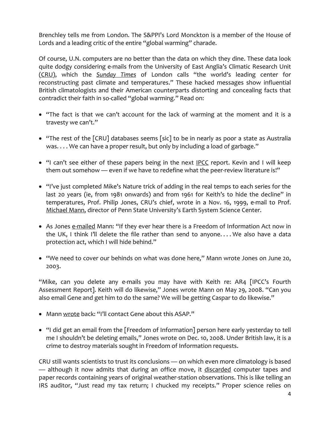Brenchley tells me from London. The S&PPI's Lord Monckton is a member of the House of Lords and a leading critic of the entire "global warming" charade.

Of course, U.N. computers are no better than the data on which they dine. These data look quite dodgy considering e-mails from the University of East Anglia's Climatic Research Unit [\(CRU\)](http://eastangliaemails.com/search.php), which the *[Sunday Times](http://www.timesonline.co.uk/tol/news/environment/article6936328.ece)* of London calls "the world's leading center for reconstructing past climate and temperatures." These hacked messages show influential British climatologists and their American counterparts distorting and concealing facts that contradict their faith in so-called "global warming." Read on:

- "The fact is that we can't account for the lack of warming at the moment and it is a travesty we can't."
- "The rest of the [CRU] databases seems [sic] to be in nearly as poor a state as Australia was. . . . We can have a proper result, but only by including a load of garbage."
- "I can't see either of these papers being in the next [IPCC](http://www.nypost.com/p/news/opinion/opedcolumnists/the_warming_oops_6apJWztQL4oQlDNSJAJs2J) report. Kevin and I will keep them out somehow — even if we have to redefine what the peer-review literature is!"
- "I've just completed Mike's Nature trick of adding in the real temps to each series for the last 20 years (ie, from 1981 onwards) and from 1961 for Keith's to hide the decline" in temperatures, Prof. Philip Jones, CRU's chief, wrote in a Nov. 16, 1999, e-mail to Prof. [Michael Mann,](http://www.telegraph.co.uk/earth/copenhagen-climate-change-confe/6718183/Climategate-Phil-Jones-accused-of-making-error-of-judgment-by-colleague.html) director of Penn State University's Earth System Science Center.
- As Jones [e-mailed](http://www.washingtontimes.com/news/2009/nov/24/hiding-evidence-of-global-cooling/print) Mann: "If they ever hear there is a Freedom of Information Act now in the UK, I think I'll delete the file rather than send to anyone. . . . We also have a data protection act, which I will hide behind."
- "We need to cover our behinds on what was done here," Mann wrote Jones on June 20, 2003.

"Mike, can you delete any e-mails you may have with Keith re: AR4 [IPCC's Fourth Assessment Report]. Keith will do likewise," Jones wrote Mann on May 29, 2008. "Can you also email Gene and get him to do the same? We will be getting Caspar to do likewise."

- Mann [wrote](http://www.foxnews.com/opinion/2009/12/01/think-climate-gate-nonevent-think/) back: "I'll contact Gene about this ASAP."
- "I did get an email from the [Freedom of Information] person here early yesterday to tell me I shouldn't be deleting emails," Jones wrote on Dec. 10, 2008. Under British law, it is a crime to destroy materials sought in Freedom of Information requests.

CRU still wants scientists to trust its conclusions — on which even more climatology is based — although it now admits that during an office move, it [discarded](http://www.timesonline.co.uk/tol/news/environment/article6936328.ece) computer tapes and paper records containing years of original weather-station observations. This is like telling an IRS auditor, "Just read my tax return; I chucked my receipts." Proper science relies on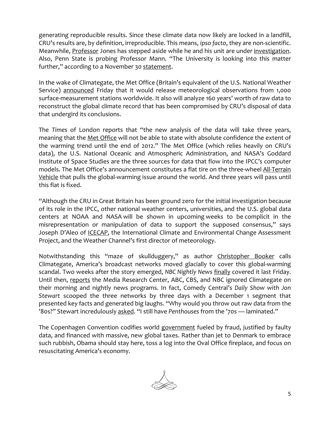generating reproducible results. Since these climate data now likely are locked in a landfill, CRU's results are, by definition, irreproducible. This means, *ipso facto*, they are non-scientific. Meanwhile, [Professor](http://article.nationalreview.com/?q=Mjk3ZTRkODVjMzcwZDI0Y2ZhOTU5ZjdmN2JkZDE5NmU=&w=MQ==) Jones has stepped aside while he and his unit are under [investigation.](http://www.uea.ac.uk/mac/comm/media/press/2009/nov/homepagenews/CRUupdate) Also, Penn State is probing Professor Mann. "The University is looking into this matter further," according to a November 30 [statement.](http://www.examiner.com/x-11224-Baltimore-Weather-Examiner~y2009m11d30-Climategate-Penn-State-Professor-Mann-under-investigation)

In the wake of Climategate, the Met Office (Britain's equivalent of the U.S. National Weather Service) [announced](http://www.metoffice.gov.uk/corporate/pressoffice/2009/pr20091205.html) Friday that it would release meteorological observations from 1,000 surface-measurement stations worldwide. It also will analyze 160 years' worth of raw data to reconstruct the global climate record that has been compromised by CRU's disposal of data that undergird its conclusions.

The *Times* of London reports that "the new analysis of the data will take three years, meaning that the [Met Office](http://www.timesonline.co.uk/tol/news/article6945445.ece) will not be able to state with absolute confidence the extent of the warming trend until the end of 2012." The Met Office (which relies heavily on CRU's data), the U.S. National Oceanic and Atmospheric Administration, and NASA's Goddard Institute of Space Studies are the three sources for data that flow into the IPCC's computer models. The Met Office's announcement constitutes a flat tire on the three-wheel [All-Terrain](http://article.nationalreview.com/?q=Mjk3ZTRkODVjMzcwZDI0Y2ZhOTU5ZjdmN2JkZDE5NmU=&w=MQ==)  [Vehicle](http://article.nationalreview.com/?q=Mjk3ZTRkODVjMzcwZDI0Y2ZhOTU5ZjdmN2JkZDE5NmU=&w=MQ==) that pulls the global-warming issue around the world. And three years will pass until this flat is fixed.

"Although the CRU in Great Britain has been ground zero for the initial investigation because of its role in the IPCC, other national weather centers, universities, and the U.S. global data centers at NOAA and NASA will be shown in upcoming weeks to be complicit in the misrepresentation or manipulation of data to support the supposed consensus," says Joseph D'Aleo of **ICECAP**, the International Climate and Environmental Change Assessment Project, and the Weather Channel's first director of meteorology.

Notwithstanding this "maze of skullduggery," as author [Christopher Booker](http://www.telegraph.co.uk/comment/columnists/christopherbooker/6679082/Climate-change-this-is-the-worst-scientific-scandal-of-our-generation.html) calls Climategate, America's broadcast networks moved glacially to cover this global-warming scandal. Two weeks after the story emerged, *NBC Nightly News* [finally](http://www.mrc.org/biasalert/2009/20091205022418.aspx) covered it last Friday. Until then, [reports](http://mrc.org/press/releases/2009/20091202123647.aspx) the Media Research Center, ABC, CBS, and NBC ignored Climategate on their morning and nightly news programs. In fact, Comedy Central's *Daily Show with Jon Stewart* scooped the three networks by three days with a December 1 segment that presented key facts and generated big laughs. "Why would you throw out raw data from the '80s?" Stewart incredulously [asked.](http://www.youtube.com/watch?v=_Wt0ZaXu_CA) "I still have *Penthouses* from the '70s — laminated."

The Copenhagen Convention codifies world [government](http://article.nationalreview.com/?q=Mjk3ZTRkODVjMzcwZDI0Y2ZhOTU5ZjdmN2JkZDE5NmU=&w=MQ==) fueled by fraud, justified by faulty data, and financed with massive, new global taxes. Rather than jet to Denmark to embrace such rubbish, Obama should stay here, toss a log into the Oval Office fireplace, and focus on resuscitating America's economy.